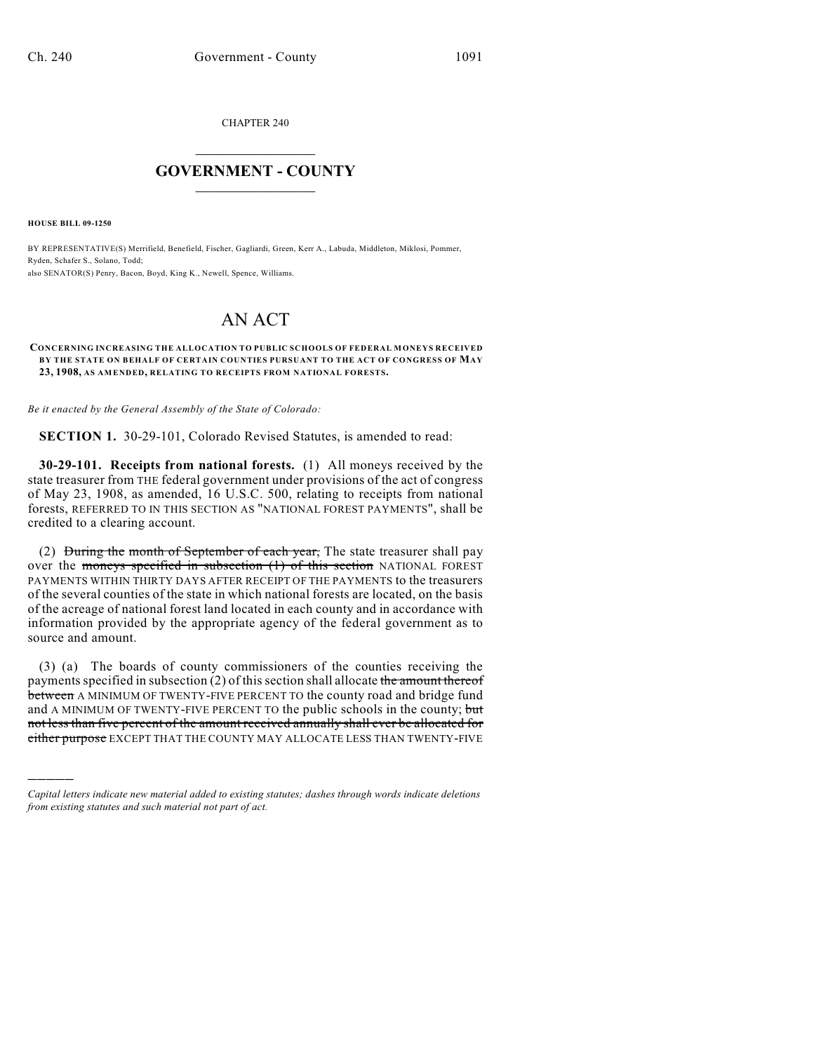CHAPTER 240

## $\overline{\phantom{a}}$  . The set of the set of the set of the set of the set of the set of the set of the set of the set of the set of the set of the set of the set of the set of the set of the set of the set of the set of the set o **GOVERNMENT - COUNTY**  $\_$

**HOUSE BILL 09-1250**

)))))

BY REPRESENTATIVE(S) Merrifield, Benefield, Fischer, Gagliardi, Green, Kerr A., Labuda, Middleton, Miklosi, Pommer, Ryden, Schafer S., Solano, Todd; also SENATOR(S) Penry, Bacon, Boyd, King K., Newell, Spence, Williams.

## AN ACT

## **CONCERNING INCREASING THE ALLOCATION TO PUBLIC SCHOOLS OF FEDERAL MONEYS RECEIVED BY THE STATE ON BEHALF OF CERTAIN COUNTIES PURSUANT TO THE ACT OF CONGRESS OF MAY 23, 1908, AS AMENDED, RELATING TO RECEIPTS FROM NATIONAL FORESTS.**

*Be it enacted by the General Assembly of the State of Colorado:*

**SECTION 1.** 30-29-101, Colorado Revised Statutes, is amended to read:

**30-29-101. Receipts from national forests.** (1) All moneys received by the state treasurer from THE federal government under provisions of the act of congress of May 23, 1908, as amended, 16 U.S.C. 500, relating to receipts from national forests, REFERRED TO IN THIS SECTION AS "NATIONAL FOREST PAYMENTS", shall be credited to a clearing account.

(2) During the month of September of each year, The state treasurer shall pay over the moneys specified in subsection (1) of this section NATIONAL FOREST PAYMENTS WITHIN THIRTY DAYS AFTER RECEIPT OF THE PAYMENTS to the treasurers of the several counties of the state in which national forests are located, on the basis of the acreage of national forest land located in each county and in accordance with information provided by the appropriate agency of the federal government as to source and amount.

(3) (a) The boards of county commissioners of the counties receiving the payments specified in subsection (2) of this section shall allocate the amount thereof between A MINIMUM OF TWENTY-FIVE PERCENT TO the county road and bridge fund and A MINIMUM OF TWENTY-FIVE PERCENT TO the public schools in the county; but not less than five percent of the amount received annually shall ever be allocated for either purpose EXCEPT THAT THE COUNTY MAY ALLOCATE LESS THAN TWENTY-FIVE

*Capital letters indicate new material added to existing statutes; dashes through words indicate deletions from existing statutes and such material not part of act.*